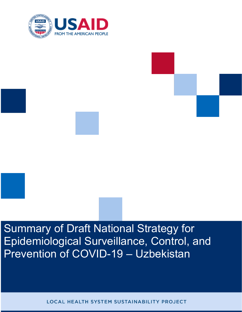



LOCAL HEALTH SYSTEM SUSTAINABILITY PROJECT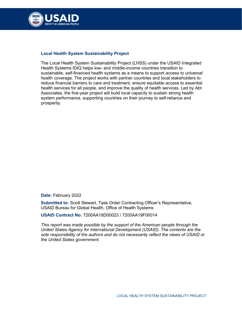

## **Local Health System Sustainability Project**

The Local Health System Sustainability Project (LHSS) under the USAID Integrated Health Systems IDIQ helps low- and middle-income countries transition to sustainable, self-financed health systems as a means to support access to universal health coverage. The project works with partner countries and local stakeholders to reduce financial barriers to care and treatment, ensure equitable access to essential health services for all people, and improve the quality of health services. Led by Abt Associates, the five-year project will build local capacity to sustain strong health system performance, supporting countries on their journey to self-reliance and prosperity.

**Date:** February 2022

**Submitted to:** Scott Stewart, Task Order Contracting Officer's Representative, USAID Bureau for Global Health, Office of Health Systems

**USAID Contract No:** 7200AA18D00023 / 7200AA19F00014

*This report was made possible by the support of the American people through the United States Agency for International Development (USAID). The contents are the sole responsibility of the authors and do not necessarily reflect the views of USAID or the United States government.*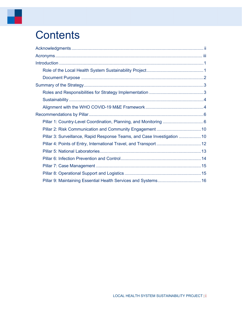# **Contents**

| Pillar 3: Surveillance, Rapid Response Teams, and Case Investigation  10 |  |
|--------------------------------------------------------------------------|--|
|                                                                          |  |
|                                                                          |  |
|                                                                          |  |
|                                                                          |  |
|                                                                          |  |
|                                                                          |  |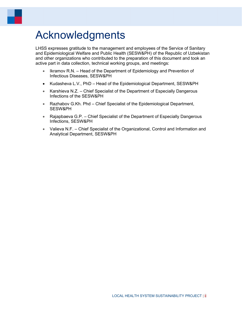# <span id="page-3-0"></span>Acknowledgments

LHSS expresses gratitude to the management and employees of the Service of Sanitary and Epidemiological Welfare and Public Health (SESW&PH) of the Republic of Uzbekistan and other organizations who contributed to the preparation of this document and took an active part in data collection, technical working groups, and meetings:

- Ikramov R.N. Head of the Department of Epidemiology and Prevention of Infectious Diseases, SESW&PH
- Kudasheva L.V., PhD Head of the Epidemiological Department, SESW&PH
- Karshieva N.Z. Chief Specialist of the Department of Especially Dangerous Infections of the SESW&PH
- Razhabov G.Kh. Phd Chief Specialist of the Epidemiological Department, SESW&PH
- Rajapbaeva G.P. Chief Specialist of the Department of Especially Dangerous Infections, SESW&PH
- Valieva N.F. Chief Specialist of the Organizational, Control and Information and Analytical Department, SESW&PH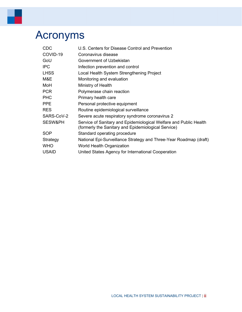# <span id="page-4-0"></span>Acronyms

۰

| <b>CDC</b>   | U.S. Centers for Disease Control and Prevention                                                                          |
|--------------|--------------------------------------------------------------------------------------------------------------------------|
| COVID-19     | Coronavirus disease                                                                                                      |
| GoU          | Government of Uzbekistan                                                                                                 |
| <b>IPC</b>   | Infection prevention and control                                                                                         |
| <b>LHSS</b>  | Local Health System Strengthening Project                                                                                |
| M&E          | Monitoring and evaluation                                                                                                |
| MoH          | Ministry of Health                                                                                                       |
| <b>PCR</b>   | Polymerase chain reaction                                                                                                |
| <b>PHC</b>   | Primary health care                                                                                                      |
| <b>PPE</b>   | Personal protective equipment                                                                                            |
| <b>RES</b>   | Routine epidemiological surveillance                                                                                     |
| SARS-CoV-2   | Severe acute respiratory syndrome coronavirus 2                                                                          |
| SESW&PH      | Service of Sanitary and Epidemiological Welfare and Public Health<br>(formerly the Sanitary and Epidemiological Service) |
| SOP          | Standard operating procedure                                                                                             |
| Strategy     | National Epi-Surveillance Strategy and Three-Year Roadmap (draft)                                                        |
| <b>WHO</b>   | <b>World Health Organization</b>                                                                                         |
| <b>USAID</b> | United States Agency for International Cooperation                                                                       |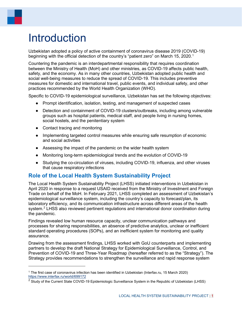# <span id="page-5-0"></span>Introduction

Uzbekistan adopted a policy of active containment of coronavirus disease 2019 (COVID-19) beginning with the official detection of the country's "patient zero" on March 15, 2020.<sup>1</sup>

Countering the pandemic is an interdepartmental responsibility that requires coordination between the Ministry of Health (MoH) and other ministries, as COVID-19 affects public health, safety, and the economy. As in many other countries, Uzbekistan adopted public health and social well-being measures to reduce the spread of COVID-19. This includes preventive measures for domestic and international travel, public events, and individual safety, and other practices recommended by the World Health Organization (WHO).

Specific to COVID-19 epidemiological surveillance, Uzbekistan has set the following objectives:

- Prompt identification, isolation, testing, and management of suspected cases
- Detection and containment of COVID-19 clusters/outbreaks, including among vulnerable groups such as hospital patients, medical staff, and people living in nursing homes, social hostels, and the penitentiary system
- Contact tracing and monitoring
- Implementing targeted control measures while ensuring safe resumption of economic and social activities
- Assessing the impact of the pandemic on the wider health system
- Monitoring long-term epidemiological trends and the evolution of COVID-19
- Studying the co-circulation of viruses, including COVID-19, influenza, and other viruses that cause respiratory infections

# <span id="page-5-1"></span>**Role of the Local Health System Sustainability Project**

The Local Health System Sustainability Project (LHSS) initiated interventions in Uzbekistan in April 2020 in response to a request USAID received from the Ministry of Investment and Foreign Trade on behalf of the MoH. In February 2021, LHSS completed an assessment of Uzbekistan's epidemiological surveillance system, including the country's capacity to forecast/plan, its laboratory efficiency, and its communication infrastructure across different areas of the health system.[2](#page-5-3) LHSS also reviewed pertinent regulations and international donor coordination during the pandemic.

Findings revealed low human resource capacity, unclear communication pathways and processes for sharing responsibilities, an absence of predictive analytics, unclear or inefficient standard operating procedures (SOPs), and an inefficient system for monitoring and quality assurance.

Drawing from the assessment findings, LHSS worked with GoU counterparts and implementing partners to develop the draft National Strategy for Epidemiological Surveillance, Control, and Prevention of COVID-19 and Three-Year Roadmap (hereafter referred to as the "Strategy"). The Strategy provides recommendations to strengthen the surveillance and rapid response system

<span id="page-5-2"></span><sup>1</sup> The first case of coronavirus infection has been identified in Uzbekistan (Interfax.ru, 15 March 2020) <https://www.interfax.ru/world/699172>

<span id="page-5-3"></span><sup>&</sup>lt;sup>2</sup> Study of the Current State COVID-19 Epidemiologic Surveillance System in the Republic of Uzbekistan (LHSS)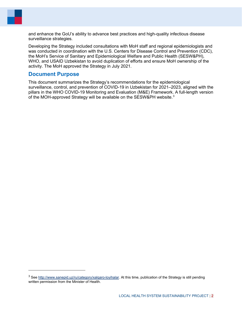and enhance the GoU's ability to advance best practices and high-quality infectious disease surveillance strategies.

Developing the Strategy included consultations with MoH staff and regional epidemiologists and was conducted in coordination with the U.S. Centers for Disease Control and Prevention (CDC), the MoH's Service of Sanitary and Epidemiological Welfare and Public Health (SESW&PH), WHO, and USAID Uzbekistan to avoid duplication of efforts and ensure MoH ownership of the activity. The MoH approved the Strategy in July 2021.

# <span id="page-6-0"></span>**Document Purpose**

This document summarizes the Strategy's recommendations for the epidemiological surveillance, control, and prevention of COVID-19 in Uzbekistan for 2021–2023, aligned with the pillars in the WHO COVID-19 Monitoring and Evaluation (M&E) Framework. A full-length version of the MOH-approved Strategy will be available on the SESW&PH website. $^3$  $^3$ 

<span id="page-6-1"></span><sup>&</sup>lt;sup>3</sup> See [http://www.sanepid.uz/ru/category/xalqaro-loyihalar.](http://www.sanepid.uz/ru/category/xalqaro-loyihalar) At this time, publication of the Strategy is still pending written permission from the Minister of Health.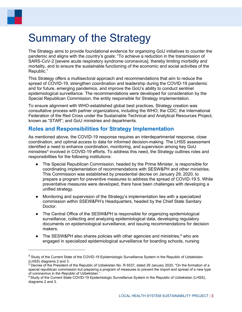# <span id="page-7-0"></span>Summary of the Strategy

The Strategy aims to provide foundational evidence for organizing GoU initiatives to counter the pandemic and aligns with the country's goals: "To achieve a reduction in the transmission of SARS-CoV-2 [severe acute respiratory syndrome coronavirus], thereby limiting morbidity and mortality, and to ensure the sustainable functioning of the economic and social activities of the Republic."

This Strategy offers a multisectoral approach and recommendations that aim to reduce the spread of COVID-19, strengthen coordination and leadership during the COVID-19 pandemic and for future, emerging pandemics, and improve the GoU's ability to conduct sentinel epidemiological surveillance. The recommendations were developed for consideration by the Special Republican Commission, the entity responsible for Strategy implementation.

To ensure alignment with WHO-established global best practices, Strategy creation was consultative process with partner organizations, including the WHO; the CDC; the International Federation of the Red Cross under the Sustainable Technical and Analytical Resources Project, known as "STAR"; and GoU ministries and departments.

# <span id="page-7-1"></span>**Roles and Responsibilities for Strategy Implementation**

As mentioned above, the COVID-19 response requires an interdepartmental response, close coordination, and optimal access to data for informed decision-making. The LHSS assessment identified a need to enhance coordination, monitoring, and supervision among key GoU ministries<sup>[4](#page-7-2)</sup> involved in COVID-19 efforts. To address this need, the Strategy outlines roles and responsibilities for the following institutions:

- The Special Republican Commission, headed by the Prime Minister, is responsible for coordinating implementation of recommendations with SESW&PH and other ministries. This Commission was established by presidential decree on January 29, 2020, to prepare a program for preventive measures to address the spread of COVID-19.[5](#page-7-3). While preventative measures were developed, there have been challenges with developing a unified strategy.
- Monitoring and supervision of the Strategy's implementation lies with a specialized commission within SSEW&PH's Headquarters, headed by the Chief State Sanitary Doctor.
- The Central Office of the SESW&PH is responsible for organizing epidemiological surveillance, collecting and analyzing epidemiological data, developing regulatory documents on epidemiological surveillance, and issuing recommendations for decision makers.
- The SESW&PH also shares policies with other agencies and ministries, $6$  who are engaged in specialized epidemiological surveillance for boarding schools, nursing

<span id="page-7-2"></span><sup>&</sup>lt;sup>4</sup> Study of the Current State of the COVID-19 Epidemiologic Surveillance System in the Republic of Uzbekistan (LHSS) diagrams 2 and 3.<br><sup>5</sup> Decree of the President of the Republic of Uzbekistan No. R-5537, dated 29 January 2020, "On the formation of a

<span id="page-7-3"></span>special republican commission but preparing a program of measures to prevent the import and spread of a new type of coronavirus in the Republic of Uzbekistan."

<span id="page-7-4"></span><sup>&</sup>lt;sup>6</sup> Study of the Current State COVID-19 Epidemiologic Surveillance System in the Republic of Uzbekistan (LHSS), diagrams 2 and 3.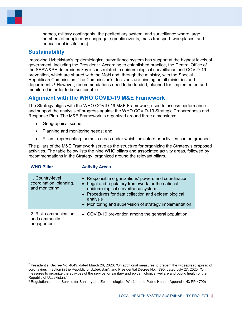homes, military contingents, the penitentiary system, and surveillance where large numbers of people may congregate (public events, mass transport, workplaces, and educational institutions).

# <span id="page-8-0"></span>**Sustainability**

Improving Uzbekistan's epidemiological surveillance system has support at the highest levels of government, including the President.<sup>[7](#page-8-2)</sup> According to established practice, the Central Office of the SESW&PH determines key issues related to epidemiological surveillance and COVID-19 prevention, which are shared with the MoH and, through the ministry, with the Special Republican Commission. The Commission's decisions are binding on all ministries and departments.<sup>[8](#page-8-3)</sup> However, recommendations need to be funded, planned for, implemented and monitored in order to be sustainable.

# <span id="page-8-1"></span>**Alignment with the WHO COVID-19 M&E Framework**

The Strategy aligns with the WHO COVID-19 M&E Framework, used to assess performance and support the analysis of progress against the WHO COVID-19 Strategic Preparedness and Response Plan. The M&E Framework is organized around three dimensions:

- Geographical scope;
- Planning and monitoring needs; and

**WHO Pillar Activity Areas**

• Pillars, representing thematic areas under which indicators or activities can be grouped

The pillars of the M&E Framework serve as the structure for organizing the Strategy's proposed activities. The table below lists the nine WHO pillars and associated activity areas, followed by recommendations in the Strategy, organized around the relevant pillars.

| <b>VVITU PIIIE</b>                                            | <b>ACTIVITY ALGAS</b>                                                                                                                                                                                                                                                           |
|---------------------------------------------------------------|---------------------------------------------------------------------------------------------------------------------------------------------------------------------------------------------------------------------------------------------------------------------------------|
| 1. Country-level<br>coordination, planning,<br>and monitoring | • Responsible organizations' powers and coordination<br>• Legal and regulatory framework for the national<br>epidemiological surveillance system<br>• Procedures for data collection and epidemiological<br>analysis<br>• Monitoring and supervision of strategy implementation |
| 2. Risk communication<br>and community<br>engagement          | • COVID-19 prevention among the general population                                                                                                                                                                                                                              |

<span id="page-8-2"></span><sup>7</sup> Presidential Decree No. 4649, dated March 26, 2020, "On additional measures to prevent the widespread spread of coronavirus infection in the Republic of Uzbekistan"; and Presidential Decree No. 4790, dated July 27, 2020, "On measures to organize the activities of the service for sanitary and epidemiological welfare and public health of the Republic of Uzbekistan."

<span id="page-8-3"></span><sup>&</sup>lt;sup>8</sup> Regulations on the Service for Sanitary and Epidemiological Welfare and Public Health (Appendix N3 PP-4790)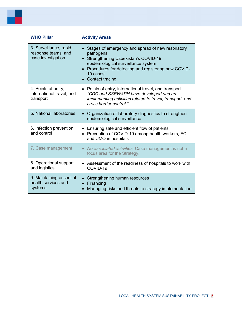| <b>WHO Pillar</b>                                                   | <b>Activity Areas</b>                                                                                                                                                                                                                                                 |
|---------------------------------------------------------------------|-----------------------------------------------------------------------------------------------------------------------------------------------------------------------------------------------------------------------------------------------------------------------|
| 3. Surveillance, rapid<br>response teams, and<br>case investigation | Stages of emergency and spread of new respiratory<br>pathogens<br>• Strengthening Uzbekistan's COVID-19<br>epidemiological surveillance system<br>Procedures for detecting and registering new COVID-<br>$\bullet$<br>19 cases<br><b>Contact tracing</b><br>$\bullet$ |
| 4. Points of entry,<br>international travel, and<br>transport       | • Points of entry, international travel, and transport<br>*CDC and SSEW&PH have developed and are<br>implementing activities related to travel, transport, and<br>cross border control.*                                                                              |
| 5. National laboratories                                            | Organization of laboratory diagnostics to strengthen<br>$\bullet$<br>epidemiological surveillance                                                                                                                                                                     |
| 6. Infection prevention<br>and control                              | • Ensuring safe and efficient flow of patients<br>Prevention of COVID-19 among health workers, EC<br>and UMO in hospitals                                                                                                                                             |
| 7. Case management                                                  | • No associated activities. Case management is not a<br>focus area for the Strategy.                                                                                                                                                                                  |
| 8. Operational support<br>and logistics                             | Assessment of the readiness of hospitals to work with<br>$\bullet$<br>COVID-19                                                                                                                                                                                        |
| 9. Maintaining essential<br>health services and<br>systems          | Strengthening human resources<br>Financing<br>$\bullet$<br>Managing risks and threats to strategy implementation                                                                                                                                                      |

÷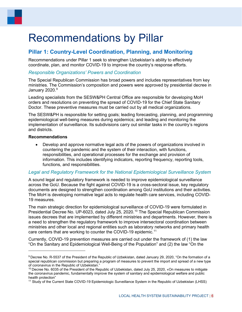# <span id="page-10-0"></span>Recommendations by Pillar

# <span id="page-10-1"></span>**Pillar 1: Country-Level Coordination, Planning, and Monitoring**

Recommendations under Pillar 1 seek to strengthen Uzbekistan's ability to effectively coordinate, plan, and monitor COVID-19 to improve the country's response efforts.

## *Responsible Organizations' Powers and Coordination*

The Special Republican Commission has broad powers and includes representatives from key ministries. The Commission's composition and powers were approved by presidential decree in January 2020. [9](#page-10-2)

Leading specialists from the SESW&PH Central Office are responsible for developing MoH orders and resolutions on preventing the spread of COVID-19 for the Chief State Sanitary Doctor. These preventive measures must be carried out by all medical organizations.

The SESW&PH is responsible for setting goals; leading forecasting, planning, and programming epidemiological well-being measures during epidemics; and leading and monitoring the implementation of surveillance. Its subdivisions carry out similar tasks in the country's regions and districts.

#### **Recommendations**

• Develop and approve normative legal acts of the powers of organizations involved in countering the pandemic and the system of their interaction, with functions, responsibilities, and operational processes for the exchange and provision of information. This includes identifying indicators, reporting frequency, reporting tools, functions, and responsibilities.

### *Legal and Regulatory Framework for the National Epidemiological Surveillance System*

A sound legal and regulatory framework is needed to improve epidemiological surveillance across the GoU. Because the fight against COVID-19 is a cross-sectoral issue, key regulatory documents are designed to strengthen coordination among GoU institutions and their activities. The MoH is developing normative legal acts to regulate health care services, including COVID-19 measures.

The main strategic direction for epidemiological surveillance of COVID-19 were formulated in Presidential Decree No. UP-6023, dated July 25, 2020.<sup>[10](#page-10-3)</sup> The Special Republican Commission issues decrees that are implemented by different ministries and departments. However, there is a need to strengthen the regulatory framework to improve intersectoral coordination between ministries and other local and regional entities such as laboratory networks and primary health care centers that are working to counter the COVID-19 epidemic.[11](#page-10-4)

Currently, COVID-19 prevention measures are carried out under the framework of (1) the law "On the Sanitary and Epidemiological Well-Being of the Population" and (2) the law "On the

<span id="page-10-2"></span><sup>9</sup> Decree No. R-5537 of the President of the Republic of Uzbekistan, dated January 29, 2020, "On the formation of a special republican commission but preparing a program of measures to prevent the import and spread of a new type of coronavirus in the Republic of Uzbekistan."

<span id="page-10-3"></span><sup>&</sup>lt;sup>10</sup> Decree No. 6035 of the President of the Republic of Uzbekistan, dated July 25, 2020, «On measures to mitigate the coronavirus pandemic, fundamentally improve the system of sanitary and epidemiological welfare and public

<span id="page-10-4"></span><sup>&</sup>lt;sup>11</sup> Study of the Current State COVID-19 Epidemiologic Surveillance System in the Republic of Uzbekistan (LHSS)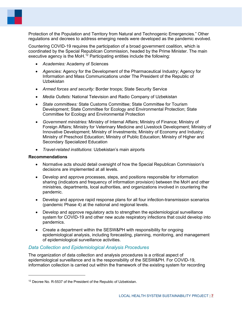Protection of the Population and Territory from Natural and Technogenic Emergencies." Other regulations and decrees to address emerging needs were developed as the pandemic evolved.

Countering COVID-19 requires the participation of a broad government coalition, which is coordinated by the Special Republican Commission, headed by the Prime Minister. The main executive agency is the MoH.<sup>[12](#page-11-0)</sup> Participating entities include the following:

- *Academies:* Academy of Sciences
- *Agencies:* Agency for the Development of the Pharmaceutical Industry; Agency for Information and Mass Communications under The President of the Republic of Uzbekistan
- *Armed forces and security:* Border troops; State Security Service
- *Media Outlets:* National Television and Radio Company of Uzbekistan
- *State committees:* State Customs Committee; State Committee for Tourism Development; State Committee for Ecology and Environmental Protection; State Committee for Ecology and Environmental Protection
- *Government ministries:* Ministry of Internal Affairs; Ministry of Finance; Ministry of Foreign Affairs; Ministry for Veterinary Medicine and Livestock Development; Ministry of Innovative Development; Ministry of Investments; Ministry of Economy and Industry; Ministry of Preschool Education; Ministry of Public Education; Ministry of Higher and Secondary Specialized Education
- *Travel-related institutions*: Uzbekistan's main airports

#### **Recommendations**

- Normative acts should detail oversight of how the Special Republican Commission's decisions are implemented at all levels.
- Develop and approve processes, steps, and positions responsible for information sharing (indicators and frequency of information provision) between the MoH and other ministries, departments, local authorities, and organizations involved in countering the pandemic.
- Develop and approve rapid response plans for all four infection-transmission scenarios (pandemic Phase 4) at the national and regional levels.
- Develop and approve regulatory acts to strengthen the epidemiological surveillance system for COVID-19 and other new acute respiratory infections that could develop into pandemics.
- Create a department within the SESW&PH with responsibility for ongoing epidemiological analysis, including forecasting, planning, monitoring, and management of epidemiological surveillance activities.

### *Data Collection and Epidemiological Analysis Procedures*

The organization of data collection and analysis procedures is a critical aspect of epidemiological surveillance and is the responsibility of the SESW&PH. For COVID-19, information collection is carried out within the framework of the existing system for recording

<span id="page-11-0"></span><sup>&</sup>lt;sup>12</sup> Decree No. R-5537 of the President of the Republic of Uzbekistan.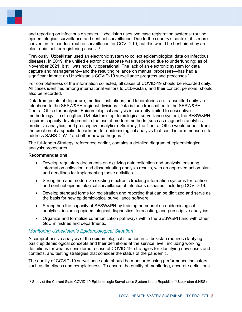

and reporting on infectious diseases. Uzbekistan uses two case registration systems: routine epidemiological surveillance and sentinel surveillance. Due to the country's context, it is more convenient to conduct routine surveillance for COVID-19, but this would be best aided by an electronic tool for registering cases.<sup>14</sup>

Previously, Uzbekistan used an electronic system to collect epidemiological data on infectious diseases. In 2019, the unified electronic database was suspended due to underfunding; as of November 2021, it still was not fully operational. The lack of an electronic system for data capture and management—and the resulting reliance on manual processes—has had a significant impact on Uzbekistan's COVID-19 surveillance progress and processes. [13](#page-12-0)

For completeness of the information collected, all cases of COVID-19 should be recorded daily. All cases identified among international visitors to Uzbekistan, and their contact persons, should also be recorded.

Data from points of departure, medical institutions, and laboratories are transmitted daily via telephone to the SESW&PH regional divisions. Data is then transmitted to the SESW&PH Central Office for analysis. Epidemiological analysis is currently limited to descriptive methodology. To strengthen Uzbekistan's epidemiological surveillance system, the SESW&PH requires capacity development in the use of modern methods (such as diagnostic analytics, predictive analytics, and prescriptive analytics). Similarly, the Central Office would benefit from the creation of a specific department for epidemiological analysis that could inform measures to address SARS-CoV-2 and other new pathogens.14

The full-length Strategy, referenced earlier, contains a detailed diagram of epidemiological analysis procedures.

#### **Recommendations**

- Develop regulatory documents on digitizing data collection and analysis, ensuring information collection, and disseminating analysis results, with an approved action plan and deadlines for implementing these activities.
- Strengthen and modernize existing electronic tracking information systems for routine and sentinel epidemiological surveillance of infectious diseases, including COVID-19.
- Develop standard forms for registration and reporting that can be digitized and serve as the basis for new epidemiological surveillance software.
- Strengthen the capacity of SESW&PH by training personnel on epidemiological analytics, including epidemiological diagnostics, forecasting, and prescriptive analytics.
- Organize and formalize communication pathways within the SESW&PH and with other GoU ministries and departments.

### *Monitoring Uzbekistan's Epidemiological Situation*

A comprehensive analysis of the epidemiological situation in Uzbekistan requires clarifying basic epidemiological concepts and their definitions at the service level, including working definitions for what is considered a case of COVID-19, strategies for identifying new cases and contacts, and testing strategies that consider the status of the pandemic.

The quality of COVID-19 surveillance data should be monitored using performance indicators such as timeliness and completeness. To ensure the quality of monitoring, accurate definitions

<span id="page-12-0"></span><sup>&</sup>lt;sup>13</sup> Study of the Current State COVID-19 Epidemiologic Surveillance System in the Republic of Uzbekistan (LHSS)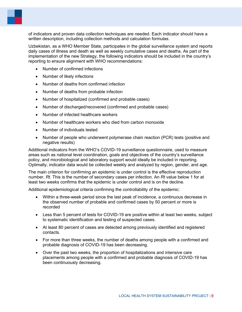of indicators and proven data collection techniques are needed. Each indicator should have a written description, including collection methods and calculation formulas.

Uzbekistan, as a WHO Member State, participates in the global surveillance system and reports daily cases of illness and death as well as weekly cumulative cases and deaths. As part of the implementation of the new Strategy, the following indicators should be included in the country's reporting to ensure alignment with WHO recommendations:

- Number of confirmed infections
- Number of likely infections
- Number of deaths from confirmed infection
- Number of deaths from probable infection
- Number of hospitalized (confirmed and probable cases)
- Number of discharged/recovered (confirmed and probable cases)
- Number of infected healthcare workers
- Number of healthcare workers who died from carbon monoxide
- Number of individuals tested
- Number of people who underwent polymerase chain reaction (PCR) tests (positive and negative results)

Additional indicators from the WHO's COVID-19 surveillance questionnaire, used to measure areas such as national level coordination, goals and objectives of the country's surveillance policy, and microbiological and laboratory support would ideally be included in reporting. Optimally, indicator data would be collected weekly and analyzed by region, gender, and age.

The main criterion for confirming an epidemic is under control is the effective reproduction number, *Rt*. This is the number of secondary cases per infection. An *Rt* value below 1 for at least two weeks confirms that the epidemic is under control and is on the decline.

Additional epidemiological criteria confirming the controllability of the epidemic:

- Within a three-week period since the last peak of incidence, a continuous decrease in the observed number of probable and confirmed cases by 50 percent or more is recorded
- Less than 5 percent of tests for COVID-19 are positive within at least two weeks, subject to systematic identification and testing of suspected cases.
- At least 80 percent of cases are detected among previously identified and registered contacts.
- For more than three weeks, the number of deaths among people with a confirmed and probable diagnosis of COVID-19 has been decreasing.
- Over the past two weeks, the proportion of hospitalizations and intensive care placements among people with a confirmed and probable diagnosis of COVID-19 has been continuously decreasing.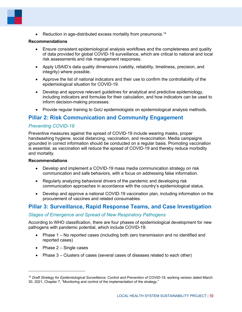• Reduction in age-distributed excess mortality from pneumonia.<sup>[14](#page-14-2)</sup>

#### **Recommendations**

- Ensure consistent epidemiological analysis workflows and the completeness and quality of data provided for global COVID-19 surveillance, which are critical to national and local risk assessments and risk management responses.
- Apply USAID's data quality dimensions (validity, reliability, timeliness, precision, and integrity) where possible.
- Approve the list of national indicators and their use to confirm the controllability of the epidemiological situation for COVID-19.
- Develop and approve relevant guidelines for analytical and predictive epidemiology, including indicators and formulas for their calculation, and how indicators can be used to inform decision-making processes.
- Provide regular training to GoU epidemiologists on epidemiological analysis methods.

# <span id="page-14-0"></span>**Pillar 2: Risk Communication and Community Engagement**

# *Preventing COVID-19*

Preventive measures against the spread of COVID-19 include wearing masks, proper handwashing hygiene, social distancing, vaccination, and revaccination. Media campaigns grounded in correct information should be conducted on a regular basis. Promoting vaccination is essential, as vaccination will reduce the spread of COVID-19 and thereby reduce morbidity and mortality.

#### **Recommendations**

- Develop and implement a COVID-19 mass media communication strategy on risk communication and safe behaviors, with a focus on addressing false information.
- Regularly analyzing behavioral drivers of the pandemic and developing risk communication approaches in accordance with the country's epidemiological status.
- Develop and approve a national COVID-19 vaccination plan, including information on the procurement of vaccines and related consumables.

# <span id="page-14-1"></span>**Pillar 3: Surveillance, Rapid Response Teams, and Case Investigation**

### *Stages of Emergence and Spread of New Respiratory Pathogens*

According to WHO classification, there are four phases of epidemiological development for new pathogens with pandemic potential, which include COVID-19:

- Phase 1 No reported cases (including both zero transmission and no identified and reported cases)
- Phase  $2 -$  Single cases
- Phase 3 Clusters of cases (several cases of diseases related to each other)

<span id="page-14-2"></span><sup>14</sup> *Draft Strategy for Epidemiological Surveillance, Control and Prevention of COVID-19*, working version dated March 30, 2021, Chapter 7, "Monitoring and control of the implementation of the strategy."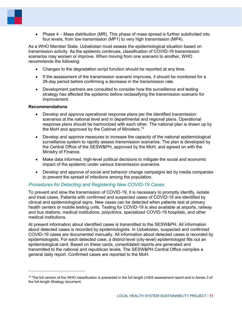• Phase 4 – Mass distribution (MR). This phase of mass spread is further subdivided into four levels, from low transmission (MP1) to very high transmission (MP4).

As a WHO Member State, Uzbekistan must assess the epidemiological situation based on transmission activity. As the epidemic continues, classification of COVID-19 transmission scenarios may worsen or improve. When moving from one scenario to another, WHO recommends the following:

- Changes to the degradation script function should be reported at any time.
- If the assessment of the transmission scenario improves, it should be monitored for a 28-day period before confirming a decrease in the transmission rate.
- Development partners are consulted to consider how the surveillance and testing strategy has affected the epidemic before reclassifying the transmission scenario for improvement.

#### **Recommendations**

- Develop and approve operational response plans per the identified transmission scenarios at the national level and in departmental and regional plans. Operational response plans should be harmonized with each other. The national plan is drawn up by the MoH and approved by the Cabinet of Ministers.<sup>[15](#page-15-0)</sup>
- Develop and approve measures to increase the capacity of the national epidemiological surveillance system to rapidly assess transmission scenarios. The plan is developed by the Central Office of the SESW&PH, approved by the MoH, and agreed on with the Ministry of Finance.
- Make data informed, high-level political decisions to mitigate the social and economic impact of the epidemic under various transmission scenarios.
- Develop and approve of social and behavior change campaigns led by media companies to prevent the spread of infections among the population.

## *Procedures for Detecting and Registering New COVID-19 Cases*

To prevent and slow the transmission of COVID-19, it is necessary to promptly identify, isolate and treat cases. Patients with confirmed and suspected cases of COVID-19 are identified by clinical and epidemiological signs. New cases can be detected when patients test at primary health centers or mobile testing units. Testing for COVID-19 is also available at airports, railway and bus stations, medical institutions, polyclinics, specialized COVID-19 hospitals, and other medical institutions.

At present information about identified cases is transmitted to the SESW&PH. All information about detected cases is recorded by epidemiologists. In Uzbekistan, suspected and confirmed COVID-19 cases are documented manually. All information about detected cases is recorded by epidemiologists. For each detected case, a district-level (city-level) epidemiologist fills out an epidemiological card. Based on these cards, consolidated reports are generated and transmitted to the national and republican levels. The SESW&PH Central Office compiles a general daily report. Confirmed cases are reported to the MoH.

<span id="page-15-0"></span><sup>&</sup>lt;sup>15</sup> The full version of the WHO classification is presented in the full length LHSS assessment report and in Annex 3 of the full-length Strategy document.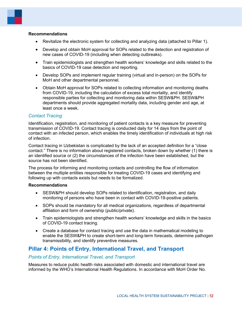#### **Recommendations**

- Revitalize the electronic system for collecting and analyzing data (attached to Pillar 1).
- Develop and obtain MoH approval for SOPs related to the detection and registration of new cases of COVID-19 (including when detecting outbreaks).
- Train epidemiologists and strengthen health workers' knowledge and skills related to the basics of COVID-19 case detection and reporting.
- Develop SOPs and implement regular training (virtual and in-person) on the SOPs for MoH and other departmental personnel.
- Obtain MoH approval for SOPs related to collecting information and monitoring deaths from COVID-19, including the calculation of excess total mortality, and identify responsible parties for collecting and monitoring data within SESW&PH. SESW&PH departments should provide aggregated mortality data, including gender and age, at least once a week.

### *Contact Tracing*

Identification, registration, and monitoring of patient contacts is a key measure for preventing transmission of COVID-19. Contact tracing is conducted daily for 14 days from the point of contact with an infected person, which enables the timely identification of individuals at high risk of infection.

Contact tracing in Uzbekistan is complicated by the lack of an accepted definition for a "close contact." There is no information about registered contacts, broken down by whether (1) there is an identified source or (2) the circumstances of the infection have been established, but the source has not been identified.

The process for informing and monitoring contacts and controlling the flow of information between the multiple entities responsible for treating COVID-19 cases and identifying and following up with contacts exists but needs to be formalized.

#### **Recommendations**

- SESW&PH should develop SOPs related to identification, registration, and daily monitoring of persons who have been in contact with COVID-19-positive patients.
- SOPs should be mandatory for all medical organizations, regardless of departmental affiliation and form of ownership (public/private).
- Train epidemiologists and strengthen health workers' knowledge and skills in the basics of COVID-19 contact tracing.
- Create a database for contact tracing and use the data in mathematical modeling to enable the SESW&PH to create short-term and long-term forecasts, determine pathogen transmissibility, and identify preventive measures.

# <span id="page-16-0"></span>**Pillar 4: Points of Entry, International Travel, and Transport**

## *Points of Entry, International Travel, and Transport*

Measures to reduce public health risks associated with domestic and international travel are informed by the WHO's International Health Regulations. In accordance with MoH Order No.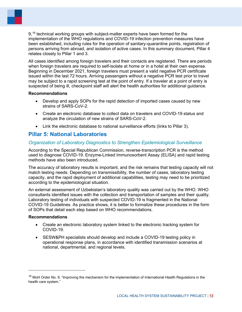9,<sup>[16](#page-17-1)</sup> technical working groups with subject-matter experts have been formed for the implementation of the WHO regulations and COVID-19 infection prevention measures have been established, including rules for the operation of sanitary-quarantine points, registration of persons arriving from abroad, and isolation of active cases. In this summary document, Pillar 4 relates closely to Pillar 1 and 3.

All cases identified among foreign travelers and their contacts are registered. There are periods when foreign travelers are required to self-isolate at home or in a hotel at their own expense. Beginning in December 2021, foreign travelers must present a valid negative PCR certificate issued within the last 72 hours. Arriving passengers without a negative PCR test prior to travel may be subject to a rapid screening test at the point of entry. If a traveler at a point of entry is suspected of being ill, checkpoint staff will alert the health authorities for additional guidance.

#### **Recommendations**

- Develop and apply SOPs for the rapid detection of imported cases caused by new strains of SARS-CoV-2.
- Create an electronic database to collect data on travelers and COVID-19 status and analyze the circulation of new strains of SARS-CoV-2.
- Link the electronic database to national surveillance efforts (links to Pillar 3).

# <span id="page-17-0"></span>**Pillar 5: National Laboratories**

## *Organization of Laboratory Diagnostics to Strengthen Epidemiological Surveillance*

According to the Special Republican Commission, reverse-transcription PCR is the method used to diagnose COVID-19. Enzyme-Linked Immunosorbent Assay (ELISA) and rapid testing methods have also been introduced.

The accuracy of laboratory results is important, and the risk remains that testing capacity will not match testing needs. Depending on transmissibility, the number of cases, laboratory testing capacity, and the rapid deployment of additional capabilities, testing may need to be prioritized according to the epidemiological situation.

An external assessment of Uzbekistan's laboratory quality was carried out by the WHO. WHO consultants identified issues with the collection and transportation of samples and their quality. Laboratory testing of individuals with suspected COVID-19 is fragmented in the National COVID-19 Guidelines. As practice shows, it is better to formalize these procedures in the form of SOPs that detail each step based on WHO recommendations.

#### **Recommendations**

- Create an electronic laboratory system linked to the electronic tracking system for COVID-19.
- SESW&PH specialists should develop and include a COVID-19 testing policy in operational response plans, in accordance with identified transmission scenarios at national, departmental, and regional levels.

<span id="page-17-1"></span><sup>&</sup>lt;sup>16</sup> MoH Order No. 9, "Improving the mechanism for the implementation of International Health Regulations in the health care system."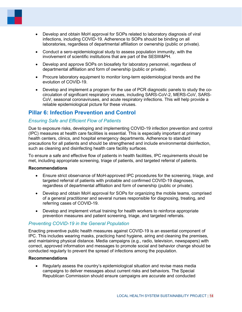

- Develop and obtain MoH approval for SOPs related to laboratory diagnosis of viral infections, including COVID-19. Adherence to SOPs should be binding on all laboratories, regardless of departmental affiliation or ownership (public or private).
- Conduct a sero-epidemiological study to assess population immunity, with the involvement of scientific institutions that are part of the SESW&PH.
- Develop and approve SOPs on biosafety for laboratory personnel, regardless of departmental affiliation and form of ownership (public or private).
- Procure laboratory equipment to monitor long-term epidemiological trends and the evolution of COVID-19.
- Develop and implement a program for the use of PCR diagnostic panels to study the cocirculation of significant respiratory viruses, including SARS-CoV-2, MERS-CoV, SARS-CoV, seasonal coronaviruses, and acute respiratory infections. This will help provide a reliable epidemiological picture for these viruses.

# <span id="page-18-0"></span>**Pillar 6: Infection Prevention and Control**

# *Ensuring Safe and Efficient Flow of Patients*

Due to exposure risks, developing and implementing COVID-19 infection prevention and control (IPC) measures at health care facilities is essential. This is especially important at primary health centers, clinics, and hospital emergency departments. Adherence to standard precautions for all patients and should be strengthened and include environmental disinfection, such as cleaning and disinfecting health care facility surfaces.

To ensure a safe and effective flow of patients in health facilities, IPC requirements should be met, including appropriate screening, triage of patients, and targeted referral of patients.

#### **Recommendations**

- Ensure strict observance of MoH-approved IPC procedures for the screening, triage, and targeted referral of patients with probable and confirmed COVID-19 diagnoses, regardless of departmental affiliation and form of ownership (public or private).
- Develop and obtain MoH approval for SOPs for organizing the mobile teams, comprised of a general practitioner and several nurses responsible for diagnosing, treating, and referring cases of COVID-19.
- Develop and implement virtual training for health workers to reinforce appropriate prevention measures and patient screening, triage, and targeted referrals.

## *Preventing COVID-19 in the General Population*

Enacting preventive public health measures against COVID-19 is an essential component of IPC. This includes wearing masks, practicing hand hygiene, airing and cleaning the premises, and maintaining physical distance. Media campaigns (e.g., radio, television, newspapers) with correct, approved information and messages to promote social and behavior change should be conducted regularly to prevent the spread of infections among the population.

#### **Recommendations**

• Regularly assess the country's epidemiological situation and revise mass media campaigns to deliver messages about current risks and behaviors. The Special Republican Commission should ensure campaigns are accurate and conducted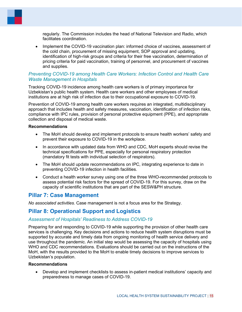regularly. The Commission includes the head of National Television and Radio, which facilitates coordination.

• Implement the COVID-19 vaccination plan: informed choice of vaccines, assessment of the cold chain, procurement of missing equipment, SOP approval and updating, identification of high-risk groups and criteria for their free vaccination, determination of pricing criteria for paid vaccination, training of personnel, and procurement of vaccines and supplies.

## *Preventing COVID-19 among Health Care Workers: Infection Control and Health Care Waste Management in Hospitals*

Tracking COVID-19 incidence among health care workers is of primary importance for Uzbekistan's public health system. Health care workers and other employees of medical institutions are at high risk of infection due to their occupational exposure to COVID-19.

Prevention of COVID-19 among health care workers requires an integrated, multidisciplinary approach that includes health and safety measures, vaccination, identification of infection risks, compliance with IPC rules, provision of personal protective equipment (PPE), and appropriate collection and disposal of medical waste.

#### **Recommendations**

- The MoH should develop and implement protocols to ensure health workers' safety and prevent their exposure to COVID-19 in the workplace.
- In accordance with updated data from WHO and CDC, MoH experts should revise the technical specifications for PPE, especially for personal respiratory protection (mandatory fit tests with individual selection of respirators).
- The MoH should update recommendations on IPC, integrating experience to date in preventing COVID-19 infection in health facilities.
- Conduct a health worker survey using one of the three WHO-recommended protocols to assess potential risk factors for the spread of COVID-19. For this survey, draw on the capacity of scientific institutions that are part of the SESW&PH structure.

## <span id="page-19-0"></span>**Pillar 7: Case Management**

*No associated activities.* Case management is not a focus area for the Strategy.

## <span id="page-19-1"></span>**Pillar 8: Operational Support and Logistics**

#### *Assessment of Hospitals' Readiness to Address COVID-19*

Preparing for and responding to COVID-19 while supporting the provision of other health care services is challenging. Key decisions and actions to reduce health system disruptions must be supported by accurate and timely data from ongoing monitoring of health service delivery and use throughout the pandemic. An initial step would be assessing the capacity of hospitals using WHO and СDС recommendations. Evaluations should be carried out on the instructions of the MoH, with the results provided to the MoH to enable timely decisions to improve services to Uzbekistan's population.

#### **Recommendations**

• Develop and implement checklists to assess in-patient medical institutions' capacity and preparedness to manage cases of COVID-19.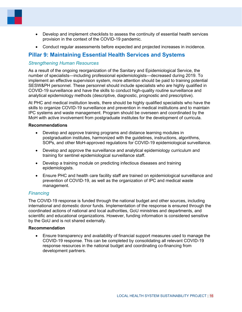

- Develop and implement checklists to assess the continuity of essential health services provision in the context of the COVID-19 pandemic.
- Conduct regular assessments before expected and projected increases in incidence.

# <span id="page-20-0"></span>**Pillar 9: Maintaining Essential Health Services and Systems**

## *Strengthening Human Resources*

As a result of the ongoing reorganization of the Sanitary and Epidemiological Service, the number of specialists—including professional epidemiologists—decreased during 2019. To implement an effective supervision system, more attention should be paid to training potential SESW&PH personnel. These personnel should include specialists who are highly qualified in COVID-19 surveillance and have the skills to conduct high-quality routine surveillance and analytical epidemiology methods (descriptive, diagnostic, prognostic and prescriptive).

At PHC and medical institution levels, there should be highly qualified specialists who have the skills to organize COVID-19 surveillance and prevention in medical institutions and to maintain IPC systems and waste management. Program should be overseen and coordinated by the MoH with active involvement from postgraduate institutes for the development of curricula.

#### **Recommendations**

- Develop and approve training programs and distance learning modules in postgraduation institutes, harmonized with the guidelines, instructions, algorithms, SOPs, and other MoH-approved regulations for COVID-19 epidemiological surveillance.
- Develop and approve the surveillance and analytical epidemiology curriculum and training for sentinel epidemiological surveillance staff.
- Develop a training module on predicting infectious diseases and training epidemiologists.
- Ensure PHC and health care facility staff are trained on epidemiological surveillance and prevention of COVID-19, as well as the organization of IPC and medical waste management.

### *Financing*

The COVID-19 response is funded through the national budget and other sources, including international and domestic donor funds. Implementation of the response is ensured through the coordinated actions of national and local authorities, GoU ministries and departments, and scientific and educational organizations. However, funding information is considered sensitive by the GoU and is not shared externally.

#### **Recommendation**

• Ensure transparency and availability of financial support measures used to manage the COVID-19 response. This can be completed by consolidating all relevant COVID-19 response resources in the national budget and coordinating co-financing from development partners.